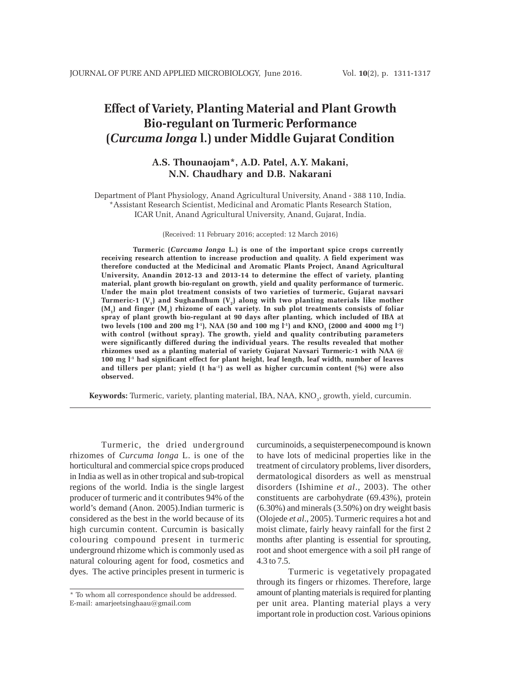# **Effect of Variety, Planting Material and Plant Growth Bio-regulant on Turmeric Performance (***Curcuma longa* **l.) under Middle Gujarat Condition**

# **A.S. Thounaojam\*, A.D. Patel, A.Y. Makani, N.N. Chaudhary and D.B. Nakarani**

Department of Plant Physiology*,* Anand Agricultural University, Anand - 388 110, India. \*Assistant Research Scientist, Medicinal and Aromatic Plants Research Station, ICAR Unit, Anand Agricultural University, Anand, Gujarat, India.

(Received: 11 February 2016; accepted: 12 March 2016)

**Turmeric (***Curcuma longa* **L.) is one of the important spice crops currently receiving research attention to increase production and quality. A field experiment was therefore conducted at the Medicinal and Aromatic Plants Project, Anand Agricultural University, Anandin 2012-13 and 2013-14 to determine the effect of variety, planting material, plant growth bio-regulant on growth, yield and quality performance of turmeric. Under the main plot treatment consists of two varieties of turmeric, Gujarat navsari** Turmeric-1  $(V_1)$  and Sughandhum  $(V_2)$  along with two planting materials like mother **(M1) and finger (M2) rhizome of each variety. In sub plot treatments consists of foliar spray of plant growth bio-regulant at 90 days after planting, which included of IBA at** two levels (100 and 200 mg l<sup>-1</sup>), NAA (50 and 100 mg l<sup>-1</sup>) and KNO<sub>3</sub> (2000 and 4000 mg l<sup>-1</sup>) **with control (without spray). The growth, yield and quality contributing parameters were significantly differed during the individual years. The results revealed that mother rhizomes used as a planting material of variety Gujarat Navsari Turmeric-1 with NAA @ 100 mg l-1 had significant effect for plant height, leaf length, leaf width, number of leaves and tillers per plant; yield (t ha-1) as well as higher curcumin content (%) were also observed.**

**Keywords:** Turmeric, variety, planting material, IBA, NAA, KNO<sub>3</sub>, growth, yield, curcumin.

Turmeric, the dried underground rhizomes of *Curcuma longa* L. is one of the horticultural and commercial spice crops produced in India as well as in other tropical and sub-tropical regions of the world. India is the single largest producer of turmeric and it contributes 94% of the world's demand (Anon. 2005).Indian turmeric is considered as the best in the world because of its high curcumin content. Curcumin is basically colouring compound present in turmeric underground rhizome which is commonly used as natural colouring agent for food, cosmetics and dyes. The active principles present in turmeric is

curcuminoids, a sequisterpenecompound is known to have lots of medicinal properties like in the treatment of circulatory problems, liver disorders, dermatological disorders as well as menstrual disorders (Ishimine *et al*., 2003). The other constituents are carbohydrate (69.43%), protein (6.30%) and minerals (3.50%) on dry weight basis (Olojede *et al*., 2005). Turmeric requires a hot and moist climate, fairly heavy rainfall for the first 2 months after planting is essential for sprouting, root and shoot emergence with a soil pH range of 4.3 to 7.5.

Turmeric is vegetatively propagated through its fingers or rhizomes. Therefore, large amount of planting materials is required for planting per unit area. Planting material plays a very important role in production cost. Various opinions

<sup>\*</sup> To whom all correspondence should be addressed. E-mail: amarjeetsinghaau@gmail.com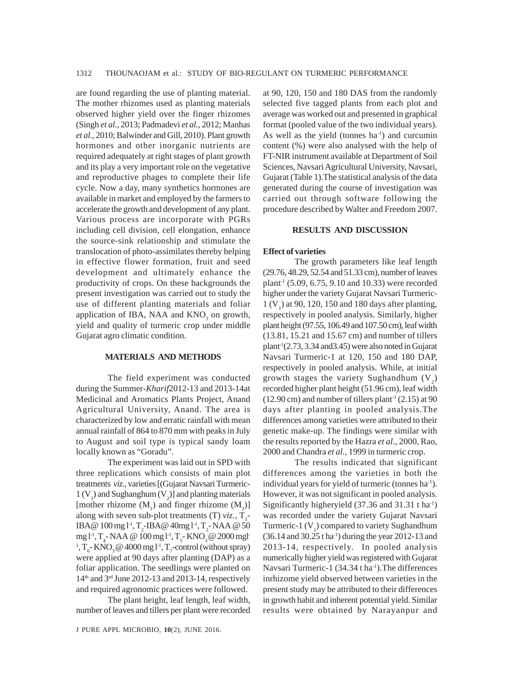are found regarding the use of planting material. The mother rhizomes used as planting materials observed higher yield over the finger rhizomes (Singh *et al.,* 2013; Padmadevi *et al.,* 2012; Manhas *et al.,* 2010; Balwinder and Gill, 2010). Plant growth hormones and other inorganic nutrients are required adequately at right stages of plant growth and its play a very important role on the vegetative and reproductive phages to complete their life cycle. Now a day, many synthetics hormones are available in market and employed by the farmers to accelerate the growth and development of any plant. Various process are incorporate with PGRs including cell division, cell elongation, enhance the source-sink relationship and stimulate the translocation of photo-assimilates thereby helping in effective flower formation, fruit and seed development and ultimately enhance the productivity of crops. On these backgrounds the present investigation was carried out to study the use of different planting materials and foliar application of IBA, NAA and  $KNO<sub>3</sub>$  on growth, yield and quality of turmeric crop under middle Gujarat agro climatic condition.

#### **MATERIALS AND METHODS**

The field experiment was conducted during the Summer-*Kharif*2012-13 and 2013-14at Medicinal and Aromatics Plants Project, Anand Agricultural University, Anand. The area is characterized by low and erratic rainfall with mean annual rainfall of 864 to 870 mm with peaks in July to August and soil type is typical sandy loam locally known as "Goradu".

The experiment was laid out in SPD with three replications which consists of main plot treatments *viz.,* varieties [(Gujarat Navsari Turmeric- $1 (V<sub>1</sub>)$  and Sughanghum  $(V<sub>2</sub>)$ ] and planting materials [mother rhizome  $(M_1)$  and finger rhizome  $(M_2)$ ] along with seven sub-plot treatments (T) *viz.*,  $T_1$ -IBA@  $100 \,\mathrm{mg}\, \mathrm{l}^1$ , T<sub>2</sub>-IBA@  $40 \mathrm{mg}\, \mathrm{l}^1$ , T<sub>3</sub>-NAA @ 50 mg l<sup>-1</sup>, T<sub>4</sub>-NAA @ 100 mg l<sup>-1</sup>, T<sub>5</sub>-KNO<sub>3</sub> @ 2000 mgl<sup>-1</sup> <sup>1</sup>, T<sub>6</sub> KNO<sub>3</sub> @ 4000 mg l<sup>-1</sup>, T<sub>7</sub>-control (without spray) were applied at 90 days after planting (DAP) as a foliar application. The seedlings were planted on 14th and 3rd June 2012-13 and 2013-14, respectively and required agronomic practices were followed.

The plant height, leaf length, leaf width, number of leaves and tillers per plant were recorded

at 90, 120, 150 and 180 DAS from the randomly selected five tagged plants from each plot and average was worked out and presented in graphical format (pooled value of the two individual years). As well as the yield (tonnes  $ha^{-1}$ ) and curcumin content (%) were also analysed with the help of FT-NIR instrument available at Department of Soil Sciences, Navsari Agricultural University, Navsari, Gujarat (Table 1).The statistical analysis of the data generated during the course of investigation was carried out through software following the procedure described by Walter and Freedom 2007.

#### **RESULTS AND DISCUSSION**

#### **Effect of varieties**

The growth parameters like leaf length (29.76, 48.29, 52.54 and 51.33 cm), number of leaves plant<sup>-1</sup> (5.09, 6.75, 9.10 and 10.33) were recorded higher under the variety Gujarat Navsari Turmeric- $1 (V<sub>1</sub>)$  at 90, 120, 150 and 180 days after planting, respectively in pooled analysis. Similarly, higher plant height (97.55, 106.49 and 107.50 cm), leaf width (13.81, 15.21 and 15.67 cm) and number of tillers plant<sup>1</sup> $(2.73, 3.34 \text{ and} 3.45)$  were also noted in Gujarat Navsari Turmeric-1 at 120, 150 and 180 DAP, respectively in pooled analysis. While, at initial growth stages the variety Sughandhum  $(V_2)$ recorded higher plant height (51.96 cm), leaf width  $(12.90 \text{ cm})$  and number of tillers plant<sup>-1</sup> $(2.15)$  at 90 days after planting in pooled analysis.The differences among varieties were attributed to their genetic make-up. The findings were similar with the results reported by the Hazra *et al*., 2000, Rao, 2000 and Chandra *et al.,* 1999 in turmeric crop.

The results indicated that significant differences among the varieties in both the individual years for yield of turmeric (tonnes ha<sup>-1</sup>). However, it was not significant in pooled analysis. Significantly higheryield (37.36 and 31.31 t ha-1) was recorded under the variety Gujarat Navsari Turmeric-1  $(V_1)$  compared to variety Sughandhum  $(36.14$  and  $30.25$  tha<sup>-1</sup>) during the year 2012-13 and 2013-14, respectively. In pooled analysis numerically higher yield was registered with Gujarat Navsari Turmeric-1  $(34.34 \text{ tha}^{-1})$ . The differences inrhizome yield observed between varieties in the present study may be attributed to their differences in growth habit and inherent potential yield. Similar results were obtained by Narayanpur and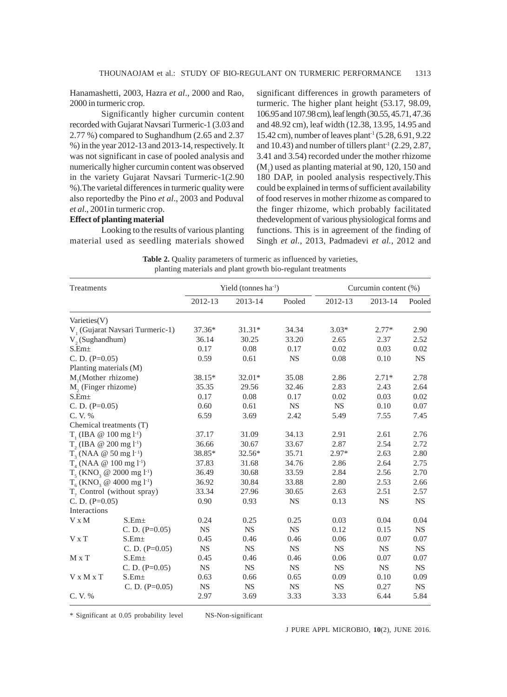Hanamashetti, 2003, Hazra *et al*., 2000 and Rao, 2000 in turmeric crop.

Significantly higher curcumin content recorded with Gujarat Navsari Turmeric-1 (3.03 and 2.77 %) compared to Sughandhum (2.65 and 2.37 %) in the year 2012-13 and 2013-14, respectively. It was not significant in case of pooled analysis and numerically higher curcumin content was observed in the variety Gujarat Navsari Turmeric-1(2.90 %).The varietal differences in turmeric quality were also reportedby the Pino *et al*., 2003 and Poduval *et al*., 2001in turmeric crop.

## **Effect of planting material**

Looking to the results of various planting material used as seedling materials showed significant differences in growth parameters of turmeric. The higher plant height (53.17, 98.09, 106.95 and 107.98 cm), leaf length (30.55, 45.71, 47.36 and 48.92 cm), leaf width (12.38, 13.95, 14.95 and 15.42 cm), number of leaves plant-1 (5.28, 6.91, 9.22 and 10.43) and number of tillers plant<sup>1</sup> (2.29, 2.87, 3.41 and 3.54) recorded under the mother rhizome  $(M<sub>1</sub>)$  used as planting material at 90, 120, 150 and 180 DAP, in pooled analysis respectively.This could be explained in terms of sufficient availability of food reserves in mother rhizome as compared to the finger rhizome, which probably facilitated thedevelopment of various physiological forms and functions. This is in agreement of the finding of Singh *et al.,* 2013, Padmadevi *et al.,* 2012 and

Table 2. Quality parameters of turmeric as influenced by varieties, planting materials and plant growth bio-regulant treatments

| Treatments                                          |                   | Yield (tonnes $ha^{-1}$ ) |           |           | Curcumin content (%) |           |           |
|-----------------------------------------------------|-------------------|---------------------------|-----------|-----------|----------------------|-----------|-----------|
|                                                     |                   | 2012-13                   | 2013-14   | Pooled    | 2012-13              | 2013-14   | Pooled    |
| Varieties(V)                                        |                   |                           |           |           |                      |           |           |
| V <sub>1</sub> (Gujarat Navsari Turmeric-1)         |                   | 37.36*                    | $31.31*$  | 34.34     | $3.03*$              | $2.77*$   | 2.90      |
| $V$ <sub>2</sub> (Sughandhum)                       |                   | 36.14                     | 30.25     | 33.20     | 2.65                 | 2.37      | 2.52      |
| S.Em <sub>±</sub>                                   |                   | 0.17                      | 0.08      | 0.17      | 0.02                 | 0.03      | 0.02      |
| C. D. $(P=0.05)$                                    |                   | 0.59                      | 0.61      | <b>NS</b> | 0.08                 | 0.10      | <b>NS</b> |
| Planting materials (M)                              |                   |                           |           |           |                      |           |           |
| M <sub>1</sub> (Mother rhizome)                     |                   | 38.15*                    | $32.01*$  | 35.08     | 2.86                 | $2.71*$   | 2.78      |
| M <sub>2</sub> (Finger rhizome)                     |                   | 35.35                     | 29.56     | 32.46     | 2.83                 | 2.43      | 2.64      |
| S.Em <sub>±</sub>                                   |                   | 0.17                      | 0.08      | 0.17      | 0.02                 | 0.03      | 0.02      |
| C. D. $(P=0.05)$                                    |                   | 0.60                      | 0.61      | <b>NS</b> | <b>NS</b>            | 0.10      | 0.07      |
| C.V.%                                               |                   | 6.59                      | 3.69      | 2.42      | 5.49                 | 7.55      | 7.45      |
| Chemical treatments (T)                             |                   |                           |           |           |                      |           |           |
| $T_1$ (IBA @ 100 mg l <sup>-1</sup> )               |                   | 37.17                     | 31.09     | 34.13     | 2.91                 | 2.61      | 2.76      |
| $T$ , (IBA @ 200 mg l <sup>-1</sup> )               |                   | 36.66                     | 30.67     | 33.67     | 2.87                 | 2.54      | 2.72      |
| $T_{3}$ (NAA @ 50 mg l <sup>-1</sup> )              |                   | 38.85*                    | 32.56*    | 35.71     | $2.97*$              | 2.63      | 2.80      |
| $T_{4}$ (NAA @ 100 mg l <sup>-1</sup> )             |                   | 37.83                     | 31.68     | 34.76     | 2.86                 | 2.64      | 2.75      |
| $T_5$ (KNO <sub>3</sub> @ 2000 mg l <sup>-1</sup> ) |                   | 36.49                     | 30.68     | 33.59     | 2.84                 | 2.56      | 2.70      |
| $T_6$ (KNO <sub>3</sub> @ 4000 mg l <sup>-1</sup> ) |                   | 36.92                     | 30.84     | 33.88     | 2.80                 | 2.53      | 2.66      |
| $T7$ Control (without spray)                        |                   | 33.34                     | 27.96     | 30.65     | 2.63                 | 2.51      | 2.57      |
| C. D. $(P=0.05)$                                    |                   | 0.90                      | 0.93      | <b>NS</b> | 0.13                 | <b>NS</b> | <b>NS</b> |
| Interactions                                        |                   |                           |           |           |                      |           |           |
| V x M                                               | S.Em <sub>±</sub> | 0.24                      | 0.25      | 0.25      | 0.03                 | 0.04      | 0.04      |
|                                                     | C. D. $(P=0.05)$  | <b>NS</b>                 | <b>NS</b> | <b>NS</b> | 0.12                 | 0.15      | <b>NS</b> |
| $V \times T$                                        | $S.Em\pm$         | 0.45                      | 0.46      | 0.46      | 0.06                 | 0.07      | 0.07      |
|                                                     | C. D. $(P=0.05)$  | <b>NS</b>                 | <b>NS</b> | <b>NS</b> | <b>NS</b>            | <b>NS</b> | <b>NS</b> |
| M x T                                               | S.Em <sub>±</sub> | 0.45                      | 0.46      | 0.46      | 0.06                 | 0.07      | 0.07      |
|                                                     | C. D. $(P=0.05)$  | <b>NS</b>                 | <b>NS</b> | <b>NS</b> | <b>NS</b>            | <b>NS</b> | <b>NS</b> |
| V x M x T                                           | S.Em±             | 0.63                      | 0.66      | 0.65      | 0.09                 | 0.10      | 0.09      |
|                                                     | C. D. $(P=0.05)$  | <b>NS</b>                 | <b>NS</b> | <b>NS</b> | <b>NS</b>            | 0.27      | <b>NS</b> |
| C.V.%                                               |                   | 2.97                      | 3.69      | 3.33      | 3.33                 | 6.44      | 5.84      |

\* Significant at 0.05 probability level NS-Non-significant

J PURE APPL MICROBIO*,* **10**(2), JUNE 2016.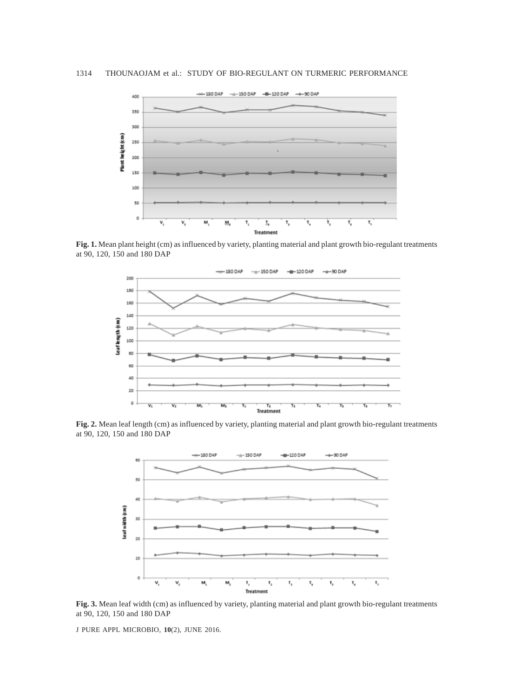

**Fig. 1.** Mean plant height (cm) as influenced by variety, planting material and plant growth bio-regulant treatments at 90, 120, 150 and 180 DAP



**Fig. 2.** Mean leaf length (cm) as influenced by variety, planting material and plant growth bio-regulant treatments at 90, 120, 150 and 180 DAP



**Fig. 3.** Mean leaf width (cm) as influenced by variety, planting material and plant growth bio-regulant treatments at 90, 120, 150 and 180 DAP

J PURE APPL MICROBIO*,* **10**(2), JUNE 2016.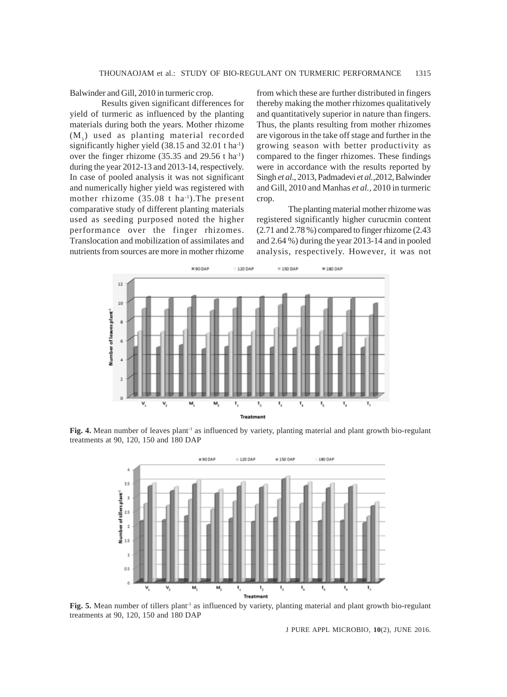Balwinder and Gill, 2010 in turmeric crop.

Results given significant differences for yield of turmeric as influenced by the planting materials during both the years. Mother rhizome (M1) used as planting material recorded significantly higher yield (38.15 and 32.01 t ha<sup>-1</sup>) over the finger rhizome  $(35.35 \text{ and } 29.56 \text{ t ha}^{-1})$ during the year 2012-13 and 2013-14, respectively. In case of pooled analysis it was not significant and numerically higher yield was registered with mother rhizome  $(35.08 \text{ t} \text{ ha}^{-1})$ . The present comparative study of different planting materials used as seeding purposed noted the higher performance over the finger rhizomes. Translocation and mobilization of assimilates and nutrients from sources are more in mother rhizome from which these are further distributed in fingers thereby making the mother rhizomes qualitatively and quantitatively superior in nature than fingers. Thus, the plants resulting from mother rhizomes are vigorous in the take off stage and further in the growing season with better productivity as compared to the finger rhizomes. These findings were in accordance with the results reported by Singh *et al*., 2013, Padmadevi *et al.,*2012, Balwinder and Gill, 2010 and Manhas *et al.,* 2010 in turmeric crop.

The planting material mother rhizome was registered significantly higher curucmin content (2.71 and 2.78 %) compared to finger rhizome (2.43 and 2.64 %) during the year 2013-14 and in pooled analysis, respectively. However, it was not



Fig. 4. Mean number of leaves plant<sup>1</sup> as influenced by variety, planting material and plant growth bio-regulant treatments at 90, 120, 150 and 180 DAP



Fig. 5. Mean number of tillers plant<sup>1</sup> as influenced by variety, planting material and plant growth bio-regulant treatments at 90, 120, 150 and 180 DAP

J PURE APPL MICROBIO*,* **10**(2), JUNE 2016.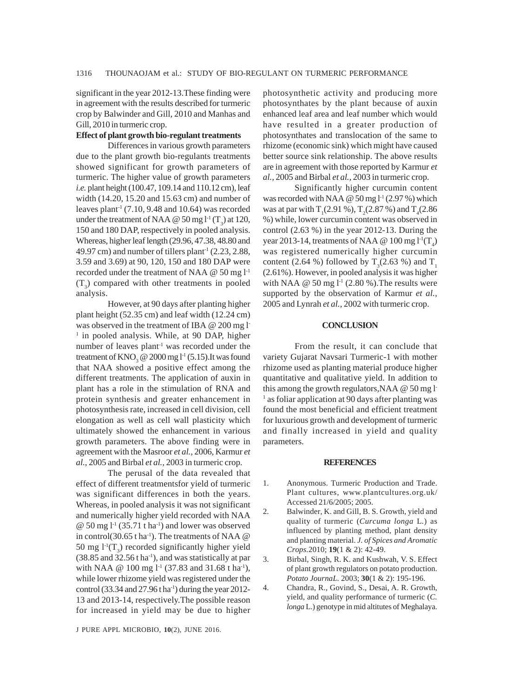significant in the year 2012-13.These finding were in agreement with the results described for turmeric crop by Balwinder and Gill, 2010 and Manhas and Gill, 2010 in turmeric crop.

### **Effect of plant growth bio-regulant treatments**

Differences in various growth parameters due to the plant growth bio-regulants treatments showed significant for growth parameters of turmeric. The higher value of growth parameters *i.e.* plant height (100.47, 109.14 and 110.12 cm), leaf width (14.20, 15.20 and 15.63 cm) and number of leaves plant<sup>-1</sup> (7.10, 9.48 and 10.64) was recorded under the treatment of NAA @ 50 mg  $l<sup>-1</sup>(T<sub>3</sub>)$  at 120, 150 and 180 DAP, respectively in pooled analysis. Whereas, higher leaf length (29.96, 47.38, 48.80 and 49.97 cm) and number of tillers plant<sup>-1</sup> (2.23, 2.88, 3.59 and 3.69) at 90, 120, 150 and 180 DAP were recorded under the treatment of NAA @ 50 mg l-1  $(T_3)$  compared with other treatments in pooled analysis.

However, at 90 days after planting higher plant height (52.35 cm) and leaf width (12.24 cm) was observed in the treatment of IBA @ 200 mg l<sup>-</sup> <sup>1</sup> in pooled analysis. While, at 90 DAP, higher number of leaves plant<sup>-1</sup> was recorded under the treatment of  $KNO_3 \otimes 2000$  mg l<sup>-1</sup> (5.15).It was found that NAA showed a positive effect among the different treatments. The application of auxin in plant has a role in the stimulation of RNA and protein synthesis and greater enhancement in photosynthesis rate, increased in cell division, cell elongation as well as cell wall plasticity which ultimately showed the enhancement in various growth parameters. The above finding were in agreement with the Masroor *et al.,* 2006, Karmur *et al.,* 2005 and Birbal *et al.,* 2003 in turmeric crop.

The perusal of the data revealed that effect of different treatmentsfor yield of turmeric was significant differences in both the years. Whereas, in pooled analysis it was not significant and numerically higher yield recorded with NAA  $\omega$  50 mg l<sup>-1</sup> (35.71 t ha<sup>-1</sup>) and lower was observed in control(30.65 t ha<sup>-1</sup>). The treatments of NAA  $@$ 50 mg  $1^1(T_3)$  recorded significantly higher yield (38.85 and  $32.56$  t ha<sup>-1</sup>), and was statistically at par with NAA  $@ 100$  mg  $1<sup>1</sup>$  (37.83 and 31.68 t ha<sup>1</sup>), while lower rhizome yield was registered under the control (33.34 and  $27.96$  t ha<sup>-1</sup>) during the year 2012-13 and 2013-14, respectively.The possible reason for increased in yield may be due to higher

J PURE APPL MICROBIO*,* **10**(2), JUNE 2016.

photosynthetic activity and producing more photosynthates by the plant because of auxin enhanced leaf area and leaf number which would have resulted in a greater production of photosynthates and translocation of the same to rhizome (economic sink) which might have caused better source sink relationship. The above results are in agreement with those reported by Karmur *et al.,* 2005 and Birbal *et al.,* 2003 in turmeric crop.

Significantly higher curcumin content was recorded with NAA  $@$  50 mg  $l<sup>1</sup>$  (2.97 %) which was at par with  $T_1(2.91\%)$ ,  $T_2(2.87\%)$  and  $T_4(2.86\%)$ %) while, lower curcumin content was observed in control (2.63 %) in the year 2012-13. During the year 2013-14, treatments of NAA @ 100 mg  $l^{\text{-}1}(\text{T}_4)$ was registered numerically higher curcumin content (2.64 %) followed by  $T_3$ (2.63 %) and  $T_1$ (2.61%). However, in pooled analysis it was higher with NAA  $\omega$  50 mg l<sup>-1</sup> (2.80 %). The results were supported by the observation of Karmur *et al.,* 2005 and Lynrah *et al.,* 2002 with turmeric crop.

#### **CONCLUSION**

From the result, it can conclude that variety Gujarat Navsari Turmeric-1 with mother rhizome used as planting material produce higher quantitative and qualitative yield. In addition to this among the growth regulators,NAA @ 50 mg l-<sup>1</sup> as foliar application at 90 days after planting was found the most beneficial and efficient treatment for luxurious growth and development of turmeric and finally increased in yield and quality parameters.

#### **REFERENCES**

- 1. Anonymous. Turmeric Production and Trade. Plant cultures, www.plantcultures.org.uk/ Accessed 21/6/2005; 2005.
- 2. Balwinder, K. and Gill, B. S. Growth, yield and quality of turmeric (*Curcuma longa* L*.*) as influenced by planting method, plant density and planting material. *J. of Spices and Aromatic Crops.*2010; **19**(1 & 2): 42-49.
- 3. Birbal, Singh, R. K. and Kushwah, V. S. Effect of plant growth regulators on potato production. *Potato JournaL.* 2003; **30**(1 & 2): 195-196.
- 4. Chandra, R., Govind, S., Desai, A. R. Growth, yield, and quality performance of turmeric (*C. longa* L.) genotype in mid altitutes of Meghalaya.